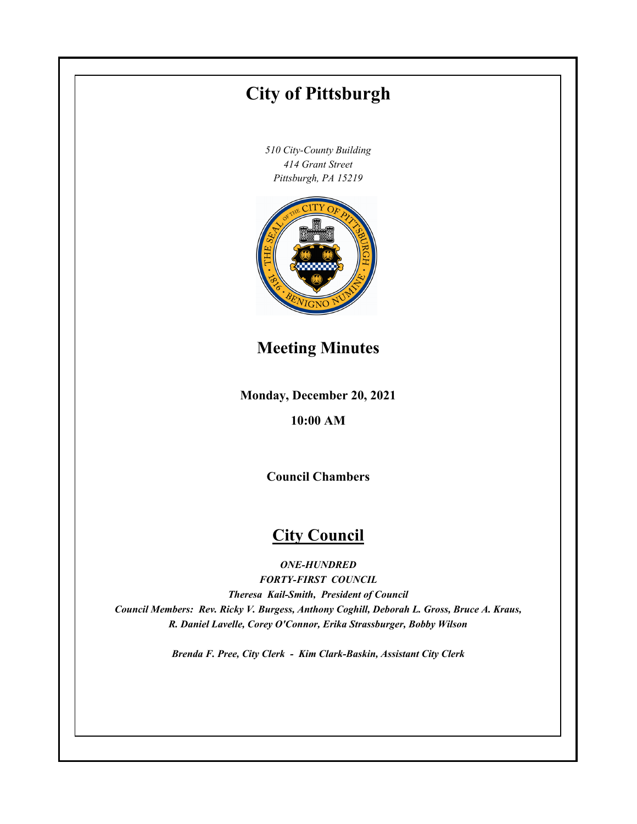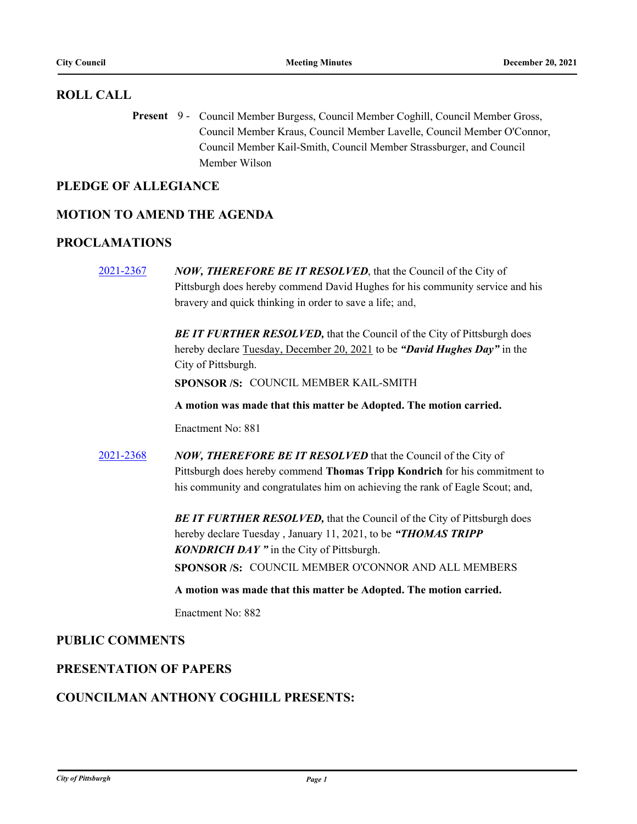## **ROLL CALL**

Present 9 - Council Member Burgess, Council Member Coghill, Council Member Gross, Council Member Kraus, Council Member Lavelle, Council Member O'Connor, Council Member Kail-Smith, Council Member Strassburger, and Council Member Wilson

## **PLEDGE OF ALLEGIANCE**

## **MOTION TO AMEND THE AGENDA**

## **PROCLAMATIONS**

[2021-2367](http://pittsburgh.legistar.com/gateway.aspx?m=l&id=/matter.aspx?key=27275) *NOW, THEREFORE BE IT RESOLVED*, that the Council of the City of Pittsburgh does hereby commend David Hughes for his community service and his bravery and quick thinking in order to save a life; and,

> **BE IT FURTHER RESOLVED, that the Council of the City of Pittsburgh does** hereby declare Tuesday, December 20, 2021 to be *"David Hughes Day"* in the City of Pittsburgh.

**SPONSOR /S:** COUNCIL MEMBER KAIL-SMITH

**A motion was made that this matter be Adopted. The motion carried.**

Enactment No: 881

[2021-2368](http://pittsburgh.legistar.com/gateway.aspx?m=l&id=/matter.aspx?key=27276) *NOW, THEREFORE BE IT RESOLVED* that the Council of the City of Pittsburgh does hereby commend **Thomas Tripp Kondrich** for his commitment to his community and congratulates him on achieving the rank of Eagle Scout; and,

> **BE IT FURTHER RESOLVED, that the Council of the City of Pittsburgh does** hereby declare Tuesday , January 11, 2021, to be *"THOMAS TRIPP KONDRICH DAY "* in the City of Pittsburgh. **SPONSOR /S:** COUNCIL MEMBER O'CONNOR AND ALL MEMBERS

**A motion was made that this matter be Adopted. The motion carried.**

Enactment No: 882

## **PUBLIC COMMENTS**

## **PRESENTATION OF PAPERS**

## **COUNCILMAN ANTHONY COGHILL PRESENTS:**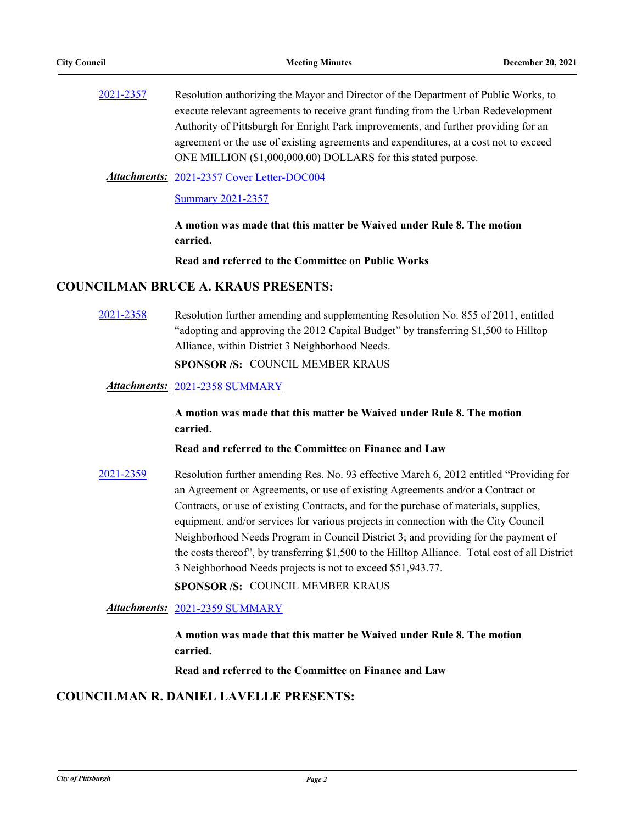| 2021-2357 | Resolution authorizing the Mayor and Director of the Department of Public Works, to   |
|-----------|---------------------------------------------------------------------------------------|
|           | execute relevant agreements to receive grant funding from the Urban Redevelopment     |
|           | Authority of Pittsburgh for Enright Park improvements, and further providing for an   |
|           | agreement or the use of existing agreements and expenditures, at a cost not to exceed |
|           | ONE MILLION (\$1,000,000.00) DOLLARS for this stated purpose.                         |

[2021-2357 Cover Letter-DOC004](http://pittsburgh.legistar.com/gateway.aspx?M=F&ID=66714af3-aede-4517-b384-e4b816e18685.PDF) *Attachments:*

[Summary 2021-2357](http://pittsburgh.legistar.com/gateway.aspx?M=F&ID=6a89c556-ab21-4858-b74c-adc66aec33fa.docx)

**A motion was made that this matter be Waived under Rule 8. The motion carried.**

**Read and referred to the Committee on Public Works**

## **COUNCILMAN BRUCE A. KRAUS PRESENTS:**

[2021-2358](http://pittsburgh.legistar.com/gateway.aspx?m=l&id=/matter.aspx?key=27266) Resolution further amending and supplementing Resolution No. 855 of 2011, entitled "adopting and approving the 2012 Capital Budget" by transferring \$1,500 to Hilltop Alliance, within District 3 Neighborhood Needs.

**SPONSOR /S:** COUNCIL MEMBER KRAUS

#### *Attachments:* [2021-2358 SUMMARY](http://pittsburgh.legistar.com/gateway.aspx?M=F&ID=26a3eb2f-5e09-4b5d-a9b0-a351a5c35267.docx)

**A motion was made that this matter be Waived under Rule 8. The motion carried.**

**Read and referred to the Committee on Finance and Law**

[2021-2359](http://pittsburgh.legistar.com/gateway.aspx?m=l&id=/matter.aspx?key=27267) Resolution further amending Res. No. 93 effective March 6, 2012 entitled "Providing for an Agreement or Agreements, or use of existing Agreements and/or a Contract or Contracts, or use of existing Contracts, and for the purchase of materials, supplies, equipment, and/or services for various projects in connection with the City Council Neighborhood Needs Program in Council District 3; and providing for the payment of the costs thereof", by transferring \$1,500 to the Hilltop Alliance. Total cost of all District 3 Neighborhood Needs projects is not to exceed \$51,943.77.

**SPONSOR /S:** COUNCIL MEMBER KRAUS

*Attachments:* [2021-2359 SUMMARY](http://pittsburgh.legistar.com/gateway.aspx?M=F&ID=1b277b74-7ceb-4c67-b3ec-9efea5866188.docx)

**A motion was made that this matter be Waived under Rule 8. The motion carried.**

**Read and referred to the Committee on Finance and Law**

## **COUNCILMAN R. DANIEL LAVELLE PRESENTS:**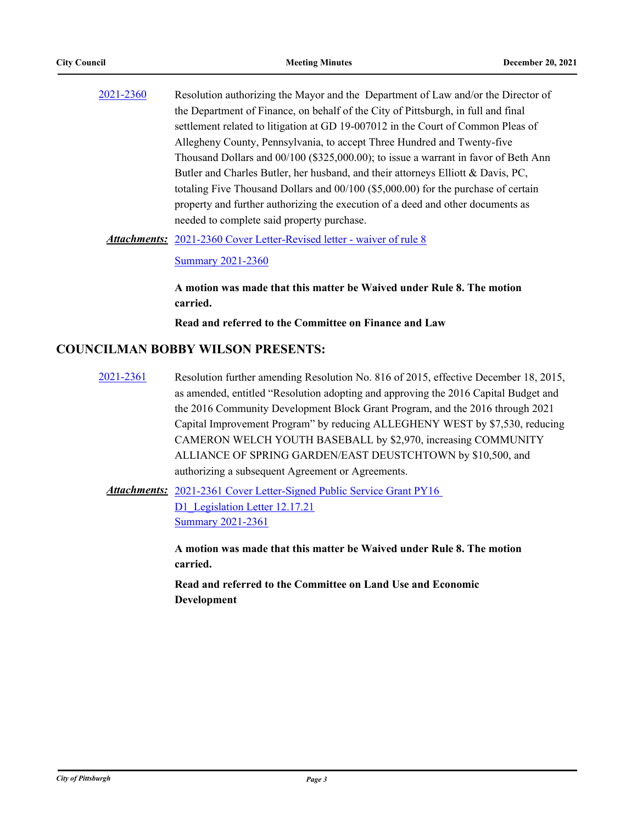[2021-2360](http://pittsburgh.legistar.com/gateway.aspx?m=l&id=/matter.aspx?key=27268) Resolution authorizing the Mayor and the Department of Law and/or the Director of the Department of Finance, on behalf of the City of Pittsburgh, in full and final settlement related to litigation at GD 19-007012 in the Court of Common Pleas of Allegheny County, Pennsylvania, to accept Three Hundred and Twenty-five Thousand Dollars and 00/100 (\$325,000.00); to issue a warrant in favor of Beth Ann Butler and Charles Butler, her husband, and their attorneys Elliott & Davis, PC, totaling Five Thousand Dollars and 00/100 (\$5,000.00) for the purchase of certain property and further authorizing the execution of a deed and other documents as needed to complete said property purchase.

Attachments: [2021-2360 Cover Letter-Revised letter - waiver of rule 8](http://pittsburgh.legistar.com/gateway.aspx?M=F&ID=91b24d61-82b8-4bfd-924d-3ed065ef296b.docx)

[Summary 2021-2360](http://pittsburgh.legistar.com/gateway.aspx?M=F&ID=42d0eebf-a5e8-4158-91a1-52f5b745d96e.docx)

**A motion was made that this matter be Waived under Rule 8. The motion carried.**

**Read and referred to the Committee on Finance and Law**

## **COUNCILMAN BOBBY WILSON PRESENTS:**

[2021-2361](http://pittsburgh.legistar.com/gateway.aspx?m=l&id=/matter.aspx?key=27269) Resolution further amending Resolution No. 816 of 2015, effective December 18, 2015, as amended, entitled "Resolution adopting and approving the 2016 Capital Budget and the 2016 Community Development Block Grant Program, and the 2016 through 2021 Capital Improvement Program" by reducing ALLEGHENY WEST by \$7,530, reducing CAMERON WELCH YOUTH BASEBALL by \$2,970, increasing COMMUNITY ALLIANCE OF SPRING GARDEN/EAST DEUSTCHTOWN by \$10,500, and authorizing a subsequent Agreement or Agreements.

Attachments: 2021-2361 Cover Letter-Signed Public Service Grant PY16 D1 Legislation Letter 12.17.21 [Summary 2021-2361](http://pittsburgh.legistar.com/gateway.aspx?M=F&ID=5d9bbe09-a9e5-45a3-8088-02dd3ca2afb7.docx)

> **A motion was made that this matter be Waived under Rule 8. The motion carried.**

**Read and referred to the Committee on Land Use and Economic Development**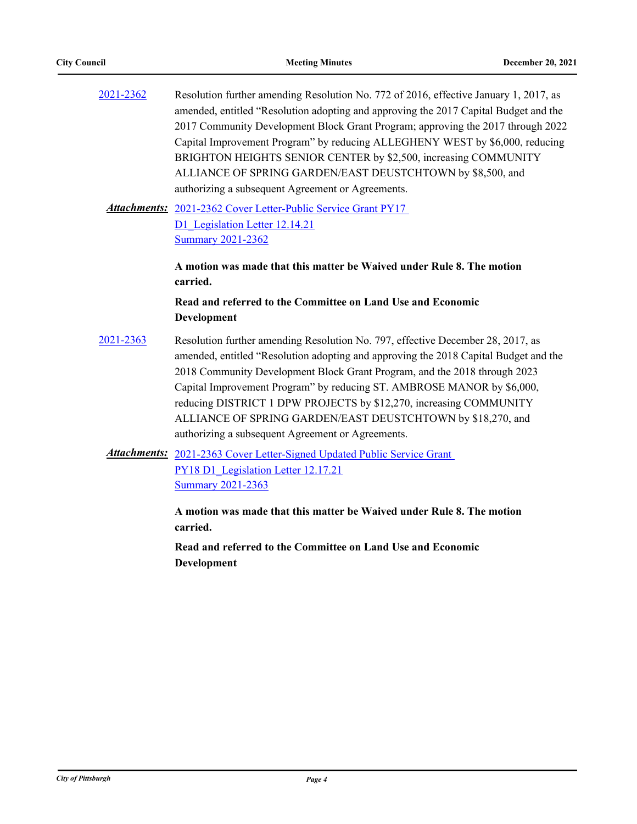| 2021-2362 | Resolution further amending Resolution No. 772 of 2016, effective January 1, 2017, as<br>amended, entitled "Resolution adopting and approving the 2017 Capital Budget and the<br>2017 Community Development Block Grant Program; approving the 2017 through 2022<br>Capital Improvement Program" by reducing ALLEGHENY WEST by \$6,000, reducing<br>BRIGHTON HEIGHTS SENIOR CENTER by \$2,500, increasing COMMUNITY<br>ALLIANCE OF SPRING GARDEN/EAST DEUSTCHTOWN by \$8,500, and<br>authorizing a subsequent Agreement or Agreements. |
|-----------|----------------------------------------------------------------------------------------------------------------------------------------------------------------------------------------------------------------------------------------------------------------------------------------------------------------------------------------------------------------------------------------------------------------------------------------------------------------------------------------------------------------------------------------|
|           | Attachments: 2021-2362 Cover Letter-Public Service Grant PY17<br>D1 Legislation Letter 12.14.21<br><b>Summary 2021-2362</b>                                                                                                                                                                                                                                                                                                                                                                                                            |
|           | A motion was made that this matter be Waived under Rule 8. The motion<br>carried.<br>Read and referred to the Committee on Land Use and Economic                                                                                                                                                                                                                                                                                                                                                                                       |
|           | Development                                                                                                                                                                                                                                                                                                                                                                                                                                                                                                                            |
| 2021-2363 | Resolution further amending Resolution No. 797, effective December 28, 2017, as<br>amended, entitled "Resolution adopting and approving the 2018 Capital Budget and the<br>2018 Community Development Block Grant Program, and the 2018 through 2023<br>Capital Improvement Program" by reducing ST. AMBROSE MANOR by \$6,000,<br>reducing DISTRICT 1 DPW PROJECTS by \$12,270, increasing COMMUNITY<br>ALLIANCE OF SPRING GARDEN/EAST DEUSTCHTOWN by \$18,270, and<br>authorizing a subsequent Agreement or Agreements.               |
|           | <b>Attachments:</b> 2021-2363 Cover Letter-Signed Updated Public Service Grant<br>PY18 D1 Legislation Letter 12.17.21<br><b>Summary 2021-2363</b>                                                                                                                                                                                                                                                                                                                                                                                      |
|           | A motion was made that this matter be Waived under Rule 8. The motion<br>carried.                                                                                                                                                                                                                                                                                                                                                                                                                                                      |
|           | Read and referred to the Committee on Land Use and Economic<br>Development                                                                                                                                                                                                                                                                                                                                                                                                                                                             |
|           |                                                                                                                                                                                                                                                                                                                                                                                                                                                                                                                                        |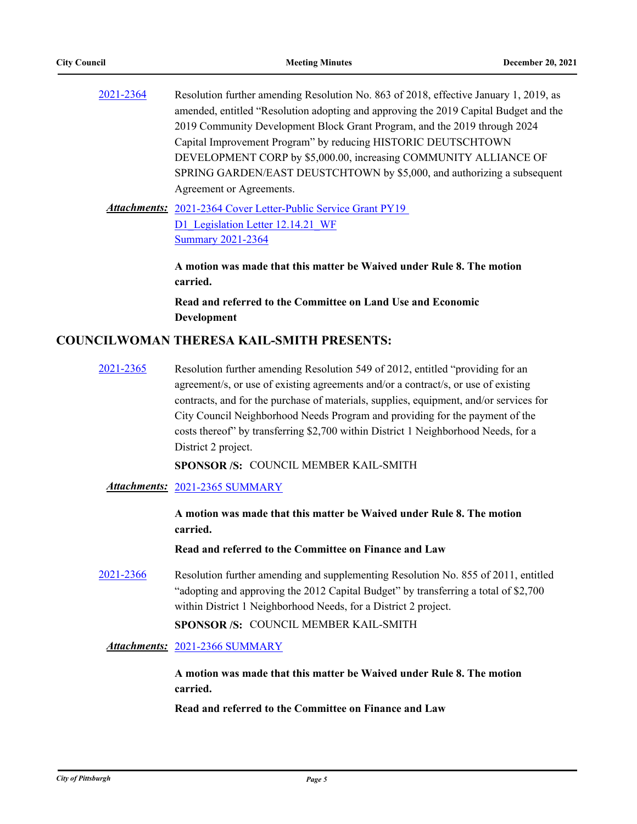| 2021-2364 | Resolution further amending Resolution No. 863 of 2018, effective January 1, 2019, as |
|-----------|---------------------------------------------------------------------------------------|
|           | amended, entitled "Resolution adopting and approving the 2019 Capital Budget and the  |
|           | 2019 Community Development Block Grant Program, and the 2019 through 2024             |
|           | Capital Improvement Program" by reducing HISTORIC DEUTSCHTOWN                         |
|           | DEVELOPMENT CORP by \$5,000.00, increasing COMMUNITY ALLIANCE OF                      |
|           | SPRING GARDEN/EAST DEUSTCHTOWN by \$5,000, and authorizing a subsequent               |
|           | Agreement or Agreements.                                                              |
|           |                                                                                       |

Attachments: 2021-2364 Cover Letter-Public Service Grant PY19 D1 Legislation Letter 12.14.21 WF [Summary 2021-2364](http://pittsburgh.legistar.com/gateway.aspx?M=F&ID=4c4d2808-b2c4-449a-81e3-d56bf5c77611.docx)

> **A motion was made that this matter be Waived under Rule 8. The motion carried.**

**Read and referred to the Committee on Land Use and Economic Development**

## **COUNCILWOMAN THERESA KAIL-SMITH PRESENTS:**

[2021-2365](http://pittsburgh.legistar.com/gateway.aspx?m=l&id=/matter.aspx?key=27273) Resolution further amending Resolution 549 of 2012, entitled "providing for an agreement/s, or use of existing agreements and/or a contract/s, or use of existing contracts, and for the purchase of materials, supplies, equipment, and/or services for City Council Neighborhood Needs Program and providing for the payment of the costs thereof" by transferring \$2,700 within District 1 Neighborhood Needs, for a District 2 project.

**SPONSOR /S:** COUNCIL MEMBER KAIL-SMITH

*Attachments:* [2021-2365 SUMMARY](http://pittsburgh.legistar.com/gateway.aspx?M=F&ID=8c69f1e7-ab86-4992-954c-e2689d5f9a68.docx)

**A motion was made that this matter be Waived under Rule 8. The motion carried.**

**Read and referred to the Committee on Finance and Law**

[2021-2366](http://pittsburgh.legistar.com/gateway.aspx?m=l&id=/matter.aspx?key=27274) Resolution further amending and supplementing Resolution No. 855 of 2011, entitled "adopting and approving the 2012 Capital Budget" by transferring a total of \$2,700 within District 1 Neighborhood Needs, for a District 2 project.

**SPONSOR /S:** COUNCIL MEMBER KAIL-SMITH

*Attachments:* [2021-2366 SUMMARY](http://pittsburgh.legistar.com/gateway.aspx?M=F&ID=96fdee35-0f2f-4ddd-b582-4d55725be309.docx)

**A motion was made that this matter be Waived under Rule 8. The motion carried.**

**Read and referred to the Committee on Finance and Law**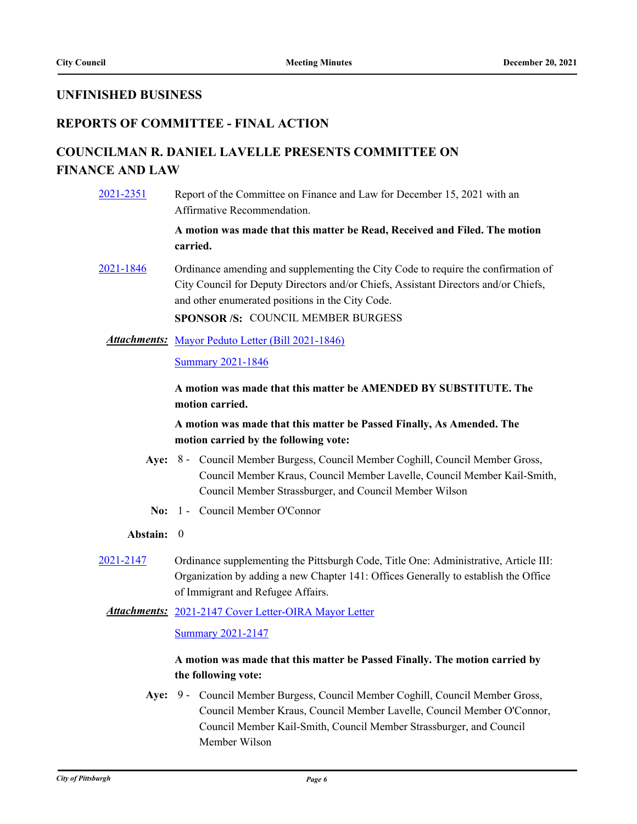## **UNFINISHED BUSINESS**

## **REPORTS OF COMMITTEE - FINAL ACTION**

# **COUNCILMAN R. DANIEL LAVELLE PRESENTS COMMITTEE ON FINANCE AND LAW**

[2021-2351](http://pittsburgh.legistar.com/gateway.aspx?m=l&id=/matter.aspx?key=27255) Report of the Committee on Finance and Law for December 15, 2021 with an Affirmative Recommendation.

> **A motion was made that this matter be Read, Received and Filed. The motion carried.**

[2021-1846](http://pittsburgh.legistar.com/gateway.aspx?m=l&id=/matter.aspx?key=26716) Ordinance amending and supplementing the City Code to require the confirmation of City Council for Deputy Directors and/or Chiefs, Assistant Directors and/or Chiefs, and other enumerated positions in the City Code.

**SPONSOR /S:** COUNCIL MEMBER BURGESS

#### Attachments: [Mayor Peduto Letter \(Bill 2021-1846\)](http://pittsburgh.legistar.com/gateway.aspx?M=F&ID=8bbc2d97-8d76-498a-8af8-2531d9ade7b6.pdf)

[Summary 2021-1846](http://pittsburgh.legistar.com/gateway.aspx?M=F&ID=3ef5602a-f1a4-4c86-92a1-31cf930a2fd0.docx)

**A motion was made that this matter be AMENDED BY SUBSTITUTE. The motion carried.**

## **A motion was made that this matter be Passed Finally, As Amended. The motion carried by the following vote:**

- Aye: 8 Council Member Burgess, Council Member Coghill, Council Member Gross, Council Member Kraus, Council Member Lavelle, Council Member Kail-Smith, Council Member Strassburger, and Council Member Wilson
- **No:** 1 Council Member O'Connor

### **Abstain:** 0

[2021-2147](http://pittsburgh.legistar.com/gateway.aspx?m=l&id=/matter.aspx?key=27040) Ordinance supplementing the Pittsburgh Code, Title One: Administrative, Article III: Organization by adding a new Chapter 141: Offices Generally to establish the Office of Immigrant and Refugee Affairs.

### Attachments: [2021-2147 Cover Letter-OIRA Mayor Letter](http://pittsburgh.legistar.com/gateway.aspx?M=F&ID=25888c74-bcc4-442a-b257-315209996545.docx)

[Summary 2021-2147](http://pittsburgh.legistar.com/gateway.aspx?M=F&ID=36b84069-458f-4419-a0ec-a183bcc13b42.docx)

## **A motion was made that this matter be Passed Finally. The motion carried by the following vote:**

Aye: 9 - Council Member Burgess, Council Member Coghill, Council Member Gross, Council Member Kraus, Council Member Lavelle, Council Member O'Connor, Council Member Kail-Smith, Council Member Strassburger, and Council Member Wilson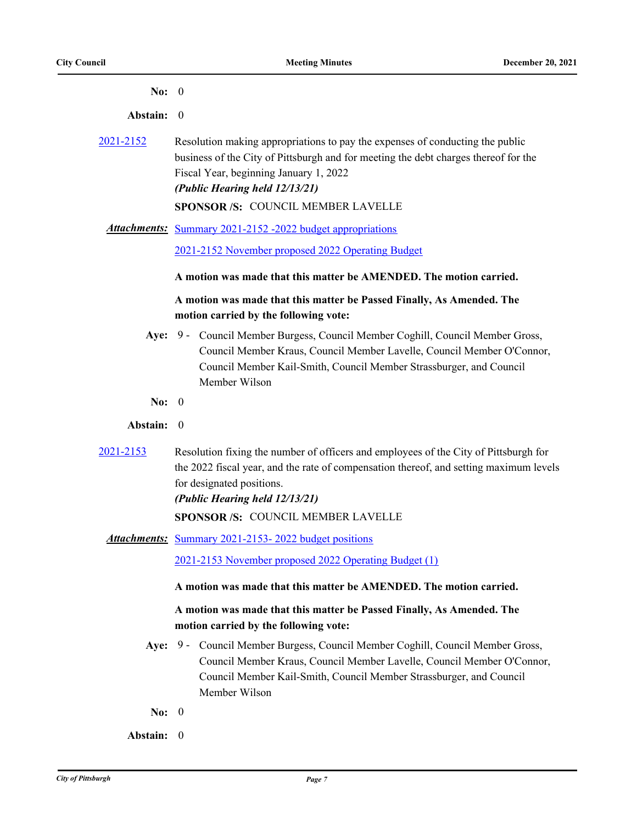| L |  |
|---|--|
|   |  |

**Abstain:** 0

[2021-2152](http://pittsburgh.legistar.com/gateway.aspx?m=l&id=/matter.aspx?key=27045) Resolution making appropriations to pay the expenses of conducting the public business of the City of Pittsburgh and for meeting the debt charges thereof for the Fiscal Year, beginning January 1, 2022 *(Public Hearing held 12/13/21)* **SPONSOR /S:** COUNCIL MEMBER LAVELLE

Attachments: [Summary 2021-2152 -2022 budget appropriations](http://pittsburgh.legistar.com/gateway.aspx?M=F&ID=91f622b6-c393-4a5f-ae82-7fadbc0a542d.docx)

[2021-2152 November proposed 2022 Operating Budget](http://pittsburgh.legistar.com/gateway.aspx?M=F&ID=2e0b515e-2a85-486f-8256-0a50a91e2b10.pdf)

#### **A motion was made that this matter be AMENDED. The motion carried.**

## **A motion was made that this matter be Passed Finally, As Amended. The motion carried by the following vote:**

- Aye: 9 Council Member Burgess, Council Member Coghill, Council Member Gross, Council Member Kraus, Council Member Lavelle, Council Member O'Connor, Council Member Kail-Smith, Council Member Strassburger, and Council Member Wilson
- **No:** 0
- **Abstain:** 0
- [2021-2153](http://pittsburgh.legistar.com/gateway.aspx?m=l&id=/matter.aspx?key=27046) Resolution fixing the number of officers and employees of the City of Pittsburgh for the 2022 fiscal year, and the rate of compensation thereof, and setting maximum levels for designated positions.

*(Public Hearing held 12/13/21)*

**SPONSOR /S:** COUNCIL MEMBER LAVELLE

Attachments: Summary 2021-2153-2022 budget positions

[2021-2153 November proposed 2022 Operating Budget \(1\)](http://pittsburgh.legistar.com/gateway.aspx?M=F&ID=697f332a-041b-4888-b2fc-fe71c6e4b64b.pdf)

#### **A motion was made that this matter be AMENDED. The motion carried.**

- Aye: 9 Council Member Burgess, Council Member Coghill, Council Member Gross, Council Member Kraus, Council Member Lavelle, Council Member O'Connor, Council Member Kail-Smith, Council Member Strassburger, and Council Member Wilson
- **No:** 0
- **Abstain:** 0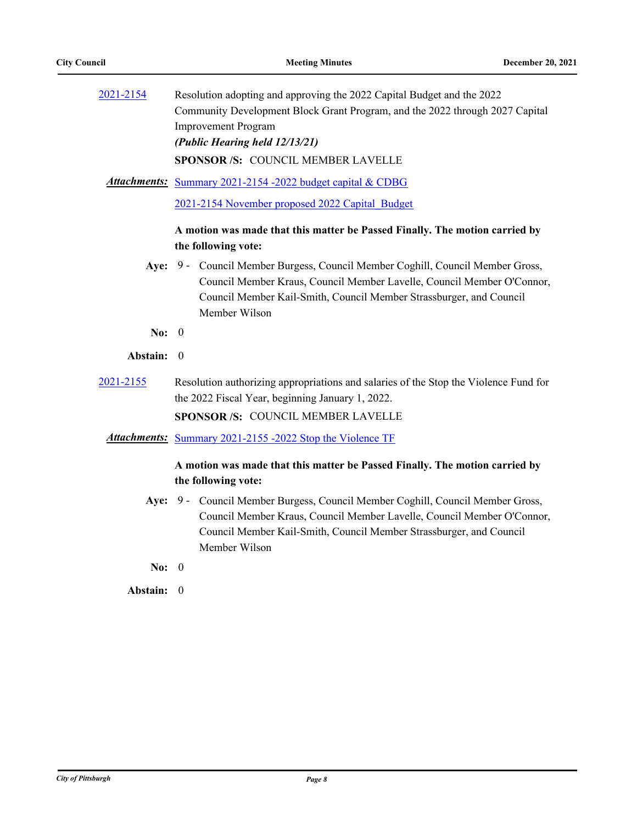| 2021-2154 | Resolution adopting and approving the 2022 Capital Budget and the 2022       |
|-----------|------------------------------------------------------------------------------|
|           | Community Development Block Grant Program, and the 2022 through 2027 Capital |
|           | <b>Improvement Program</b>                                                   |
|           | (Public Hearing held 12/13/21)                                               |
|           | <b>SPONSOR/S: COUNCIL MEMBER LAVELLE</b>                                     |

Attachments: [Summary 2021-2154 -2022 budget capital & CDBG](http://pittsburgh.legistar.com/gateway.aspx?M=F&ID=3ee19e8b-9a34-4dcb-9301-fe01560f2e6b.docx)

[2021-2154 November proposed 2022 Capital\\_Budget](http://pittsburgh.legistar.com/gateway.aspx?M=F&ID=39dc335b-9f69-4bb7-bceb-ef96d394320c.pdf)

## **A motion was made that this matter be Passed Finally. The motion carried by the following vote:**

- Aye: 9 Council Member Burgess, Council Member Coghill, Council Member Gross, Council Member Kraus, Council Member Lavelle, Council Member O'Connor, Council Member Kail-Smith, Council Member Strassburger, and Council Member Wilson
- **No:** 0
- **Abstain:** 0
- [2021-2155](http://pittsburgh.legistar.com/gateway.aspx?m=l&id=/matter.aspx?key=27048) Resolution authorizing appropriations and salaries of the Stop the Violence Fund for the 2022 Fiscal Year, beginning January 1, 2022.

**SPONSOR /S:** COUNCIL MEMBER LAVELLE

*Attachments:* [Summary 2021-2155 -2022 Stop the Violence TF](http://pittsburgh.legistar.com/gateway.aspx?M=F&ID=6adecb25-a859-4ca2-851a-529f33e6e1a5.docx)

## **A motion was made that this matter be Passed Finally. The motion carried by the following vote:**

- Aye: 9 Council Member Burgess, Council Member Coghill, Council Member Gross, Council Member Kraus, Council Member Lavelle, Council Member O'Connor, Council Member Kail-Smith, Council Member Strassburger, and Council Member Wilson
- **No:** 0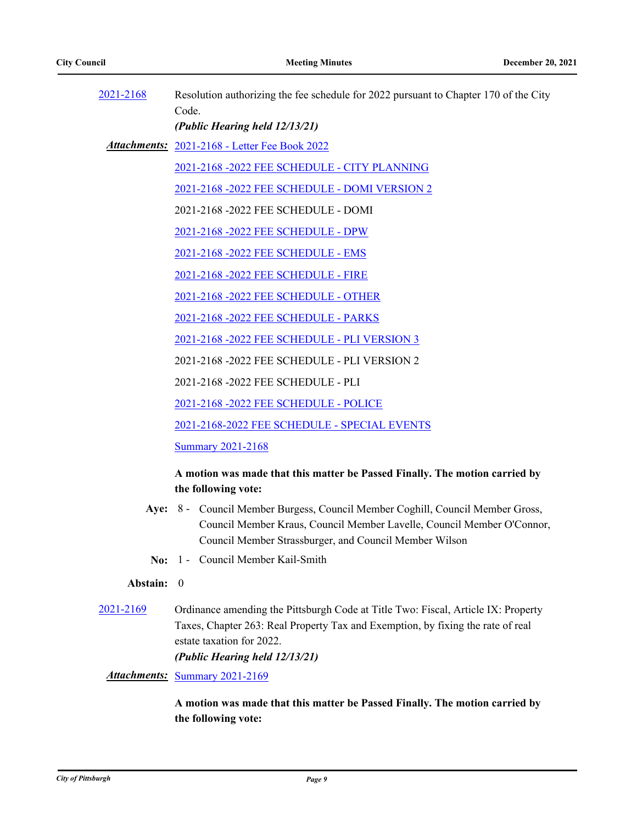| 2021-2168 | Resolution authorizing the fee schedule for 2022 pursuant to Chapter 170 of the City |
|-----------|--------------------------------------------------------------------------------------|
|           | Code.                                                                                |
|           | (Public Hearing held 12/13/21)                                                       |
|           | <b>Attachments:</b> 2021-2168 - Letter Fee Book 2022                                 |
|           | 2021-2168 -2022 FEE SCHEDULE - CITY PLANNING                                         |
|           | 2021-2168 -2022 FEE SCHEDULE - DOMI VERSION 2                                        |
|           | 2021-2168 -2022 FEE SCHEDULE - DOMI                                                  |
|           | 2021-2168 -2022 FEE SCHEDULE - DPW                                                   |
|           | 2021-2168 -2022 FEE SCHEDULE - EMS                                                   |
|           | 2021-2168 -2022 FEE SCHEDULE - FIRE                                                  |
|           | 2021-2168 -2022 FEE SCHEDULE - OTHER                                                 |
|           | 2021-2168 -2022 FEE SCHEDULE - PARKS                                                 |
|           | 2021-2168 -2022 FEE SCHEDULE - PLI VERSION 3                                         |
|           | 2021-2168 -2022 FEE SCHEDULE - PLI VERSION 2                                         |
|           | 2021-2168 -2022 FEE SCHEDULE - PLI                                                   |
|           | 2021-2168 -2022 FEE SCHEDULE - POLICE                                                |
|           | 2021-2168-2022 FEE SCHEDULE - SPECIAL EVENTS                                         |
|           | <b>Summary 2021-2168</b>                                                             |

## **A motion was made that this matter be Passed Finally. The motion carried by the following vote:**

- Aye: 8 Council Member Burgess, Council Member Coghill, Council Member Gross, Council Member Kraus, Council Member Lavelle, Council Member O'Connor, Council Member Strassburger, and Council Member Wilson
- **No:** 1 Council Member Kail-Smith

#### **Abstain:** 0

[2021-2169](http://pittsburgh.legistar.com/gateway.aspx?m=l&id=/matter.aspx?key=27062) Ordinance amending the Pittsburgh Code at Title Two: Fiscal, Article IX: Property Taxes, Chapter 263: Real Property Tax and Exemption, by fixing the rate of real estate taxation for 2022. *(Public Hearing held 12/13/21)*

*Attachments:* [Summary 2021-2169](http://pittsburgh.legistar.com/gateway.aspx?M=F&ID=60544df4-74e5-4745-b90a-c3fb55fb50b0.docx)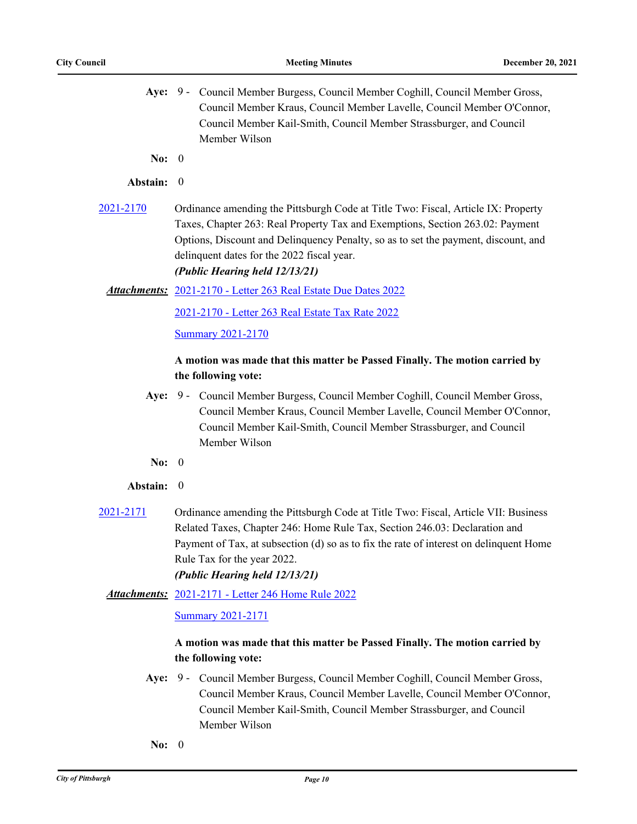- Aye: 9 Council Member Burgess, Council Member Coghill, Council Member Gross, Council Member Kraus, Council Member Lavelle, Council Member O'Connor, Council Member Kail-Smith, Council Member Strassburger, and Council Member Wilson
- **No:** 0

#### **Abstain:** 0

[2021-2170](http://pittsburgh.legistar.com/gateway.aspx?m=l&id=/matter.aspx?key=27063) Ordinance amending the Pittsburgh Code at Title Two: Fiscal, Article IX: Property Taxes, Chapter 263: Real Property Tax and Exemptions, Section 263.02: Payment Options, Discount and Delinquency Penalty, so as to set the payment, discount, and delinquent dates for the 2022 fiscal year.

## *(Public Hearing held 12/13/21)*

#### [2021-2170 - Letter 263 Real Estate Due Dates 2022](http://pittsburgh.legistar.com/gateway.aspx?M=F&ID=bd87e917-c65a-4e1b-b68b-ed6f791f811e.docx) *Attachments:*

[2021-2170 - Letter 263 Real Estate Tax Rate 2022](http://pittsburgh.legistar.com/gateway.aspx?M=F&ID=93d18c63-78cc-40b3-ad18-d29de0d0390b.docx)

[Summary 2021-2170](http://pittsburgh.legistar.com/gateway.aspx?M=F&ID=3e82e050-4f01-431f-94e0-a0ca72d9ab8b.docx)

## **A motion was made that this matter be Passed Finally. The motion carried by the following vote:**

- Aye: 9 Council Member Burgess, Council Member Coghill, Council Member Gross, Council Member Kraus, Council Member Lavelle, Council Member O'Connor, Council Member Kail-Smith, Council Member Strassburger, and Council Member Wilson
- **No:** 0

#### **Abstain:** 0

[2021-2171](http://pittsburgh.legistar.com/gateway.aspx?m=l&id=/matter.aspx?key=27064) Ordinance amending the Pittsburgh Code at Title Two: Fiscal, Article VII: Business Related Taxes, Chapter 246: Home Rule Tax, Section 246.03: Declaration and Payment of Tax, at subsection (d) so as to fix the rate of interest on delinquent Home Rule Tax for the year 2022. *(Public Hearing held 12/13/21)*

### [2021-2171 - Letter 246 Home Rule 2022](http://pittsburgh.legistar.com/gateway.aspx?M=F&ID=f17c487f-5427-40a1-a4e4-be9654cfc8d3.docx) *Attachments:*

#### [Summary 2021-2171](http://pittsburgh.legistar.com/gateway.aspx?M=F&ID=604aaecf-885a-4e4a-a188-0cda286242d9.docx)

- Aye: 9 Council Member Burgess, Council Member Coghill, Council Member Gross, Council Member Kraus, Council Member Lavelle, Council Member O'Connor, Council Member Kail-Smith, Council Member Strassburger, and Council Member Wilson
- **No:** 0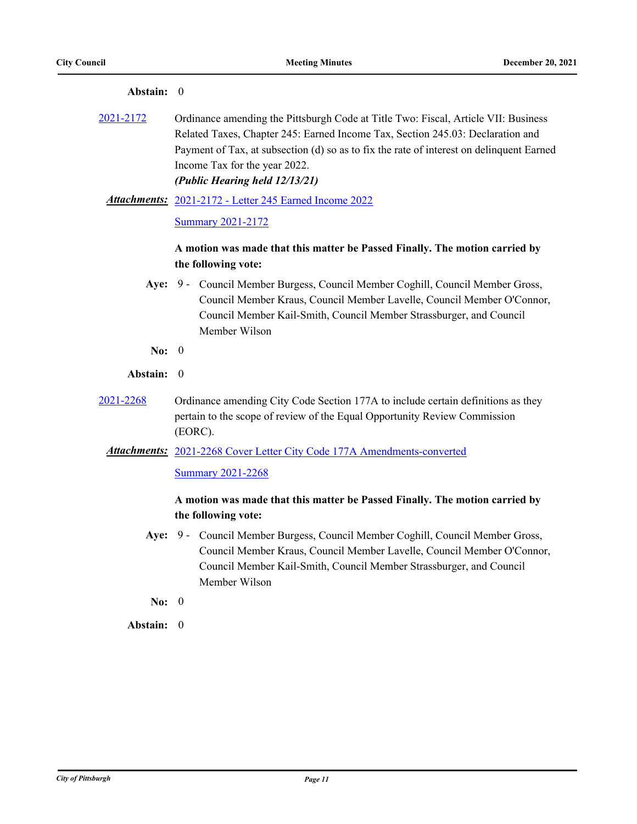| Абмани.    |                                                                                                                                                                                                                                                                                                                                                                                                                                  |
|------------|----------------------------------------------------------------------------------------------------------------------------------------------------------------------------------------------------------------------------------------------------------------------------------------------------------------------------------------------------------------------------------------------------------------------------------|
| 2021-2172  | Ordinance amending the Pittsburgh Code at Title Two: Fiscal, Article VII: Business<br>Related Taxes, Chapter 245: Earned Income Tax, Section 245.03: Declaration and<br>Payment of Tax, at subsection (d) so as to fix the rate of interest on delinquent Earned<br>Income Tax for the year 2022.<br>(Public Hearing held 12/13/21)<br><b>Attachments:</b> 2021-2172 - Letter 245 Earned Income 2022<br><b>Summary 2021-2172</b> |
|            | A motion was made that this matter be Passed Finally. The motion carried by<br>the following vote:                                                                                                                                                                                                                                                                                                                               |
|            | Aye: 9 - Council Member Burgess, Council Member Coghill, Council Member Gross,<br>Council Member Kraus, Council Member Lavelle, Council Member O'Connor,<br>Council Member Kail-Smith, Council Member Strassburger, and Council<br>Member Wilson                                                                                                                                                                                 |
| No: $0$    |                                                                                                                                                                                                                                                                                                                                                                                                                                  |
| Abstain: 0 |                                                                                                                                                                                                                                                                                                                                                                                                                                  |
| 2021-2268  | Ordinance amending City Code Section 177A to include certain definitions as they<br>pertain to the scope of review of the Equal Opportunity Review Commission<br>(EORC).                                                                                                                                                                                                                                                         |
|            | Attachments: 2021-2268 Cover Letter City Code 177A Amendments-converted<br><b>Summary 2021-2268</b>                                                                                                                                                                                                                                                                                                                              |
|            | A motion was made that this matter be Passed Finally. The motion carried by<br>the following vote:                                                                                                                                                                                                                                                                                                                               |
| Aye:       | 9 - Council Member Burgess, Council Member Coghill, Council Member Gross,<br>Council Member Kraus, Council Member Lavelle, Council Member O'Connor,<br>Council Member Kail-Smith, Council Member Strassburger, and Council<br>Member Wilson                                                                                                                                                                                      |
| No: $0$    |                                                                                                                                                                                                                                                                                                                                                                                                                                  |
| Abstain: 0 |                                                                                                                                                                                                                                                                                                                                                                                                                                  |
|            |                                                                                                                                                                                                                                                                                                                                                                                                                                  |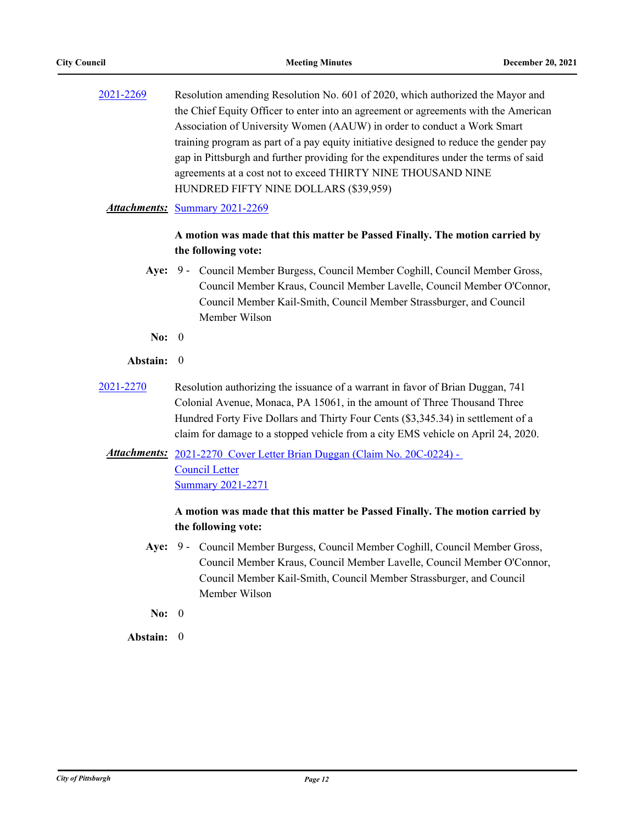[2021-2269](http://pittsburgh.legistar.com/gateway.aspx?m=l&id=/matter.aspx?key=27171) Resolution amending Resolution No. 601 of 2020, which authorized the Mayor and the Chief Equity Officer to enter into an agreement or agreements with the American Association of University Women (AAUW) in order to conduct a Work Smart training program as part of a pay equity initiative designed to reduce the gender pay gap in Pittsburgh and further providing for the expenditures under the terms of said agreements at a cost not to exceed THIRTY NINE THOUSAND NINE HUNDRED FIFTY NINE DOLLARS (\$39,959)

## *Attachments:* [Summary 2021-2269](http://pittsburgh.legistar.com/gateway.aspx?M=F&ID=4ee9b455-6e56-413f-8eb9-d2201fc6a06a.docx)

## **A motion was made that this matter be Passed Finally. The motion carried by the following vote:**

- Aye: 9 Council Member Burgess, Council Member Coghill, Council Member Gross, Council Member Kraus, Council Member Lavelle, Council Member O'Connor, Council Member Kail-Smith, Council Member Strassburger, and Council Member Wilson
- **No:** 0

### **Abstain:** 0

[2021-2270](http://pittsburgh.legistar.com/gateway.aspx?m=l&id=/matter.aspx?key=27172) Resolution authorizing the issuance of a warrant in favor of Brian Duggan, 741 Colonial Avenue, Monaca, PA 15061, in the amount of Three Thousand Three Hundred Forty Five Dollars and Thirty Four Cents (\$3,345.34) in settlement of a claim for damage to a stopped vehicle from a city EMS vehicle on April 24, 2020.

## Attachments: 2021-2270 Cover Letter Brian Duggan (Claim No. 20C-0224) -Council Letter [Summary 2021-2271](http://pittsburgh.legistar.com/gateway.aspx?M=F&ID=ed73be42-8908-4c4e-8668-c1bb420e078a.docx)

## **A motion was made that this matter be Passed Finally. The motion carried by the following vote:**

- Aye: 9 Council Member Burgess, Council Member Coghill, Council Member Gross, Council Member Kraus, Council Member Lavelle, Council Member O'Connor, Council Member Kail-Smith, Council Member Strassburger, and Council Member Wilson
- **No:** 0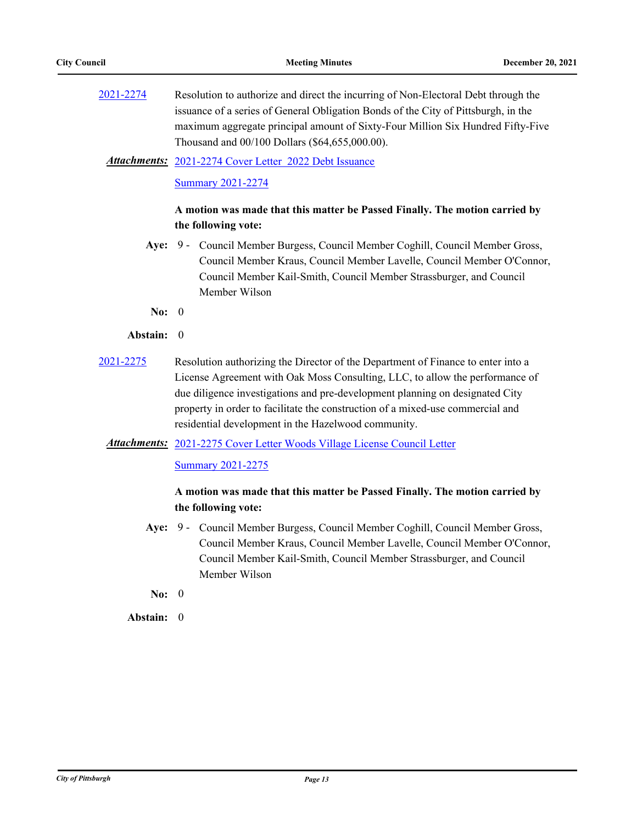[2021-2274](http://pittsburgh.legistar.com/gateway.aspx?m=l&id=/matter.aspx?key=27176) Resolution to authorize and direct the incurring of Non-Electoral Debt through the issuance of a series of General Obligation Bonds of the City of Pittsburgh, in the maximum aggregate principal amount of Sixty-Four Million Six Hundred Fifty-Five Thousand and 00/100 Dollars (\$64,655,000.00).

[2021-2274 Cover Letter 2022 Debt Issuance](http://pittsburgh.legistar.com/gateway.aspx?M=F&ID=26503bfb-939e-4fb5-a366-2eef1cc446e6.docx) *Attachments:*

[Summary 2021-2274](http://pittsburgh.legistar.com/gateway.aspx?M=F&ID=4dd07adc-d071-4969-a3fb-4d6defe1f608.docx)

## **A motion was made that this matter be Passed Finally. The motion carried by the following vote:**

- Aye: 9 Council Member Burgess, Council Member Coghill, Council Member Gross, Council Member Kraus, Council Member Lavelle, Council Member O'Connor, Council Member Kail-Smith, Council Member Strassburger, and Council Member Wilson
- **No:** 0

#### **Abstain:** 0

[2021-2275](http://pittsburgh.legistar.com/gateway.aspx?m=l&id=/matter.aspx?key=27177) Resolution authorizing the Director of the Department of Finance to enter into a License Agreement with Oak Moss Consulting, LLC, to allow the performance of due diligence investigations and pre-development planning on designated City property in order to facilitate the construction of a mixed-use commercial and residential development in the Hazelwood community.

## Attachments: [2021-2275 Cover Letter Woods Village License Council Letter](http://pittsburgh.legistar.com/gateway.aspx?M=F&ID=dd58616c-b4b3-49e6-95ec-9885e0b13eaf.docx)

[Summary 2021-2275](http://pittsburgh.legistar.com/gateway.aspx?M=F&ID=04587a5f-3ce8-4e83-8c59-74dc1b0fac61.docx)

## **A motion was made that this matter be Passed Finally. The motion carried by the following vote:**

- Aye: 9 Council Member Burgess, Council Member Coghill, Council Member Gross, Council Member Kraus, Council Member Lavelle, Council Member O'Connor, Council Member Kail-Smith, Council Member Strassburger, and Council Member Wilson
- **No:** 0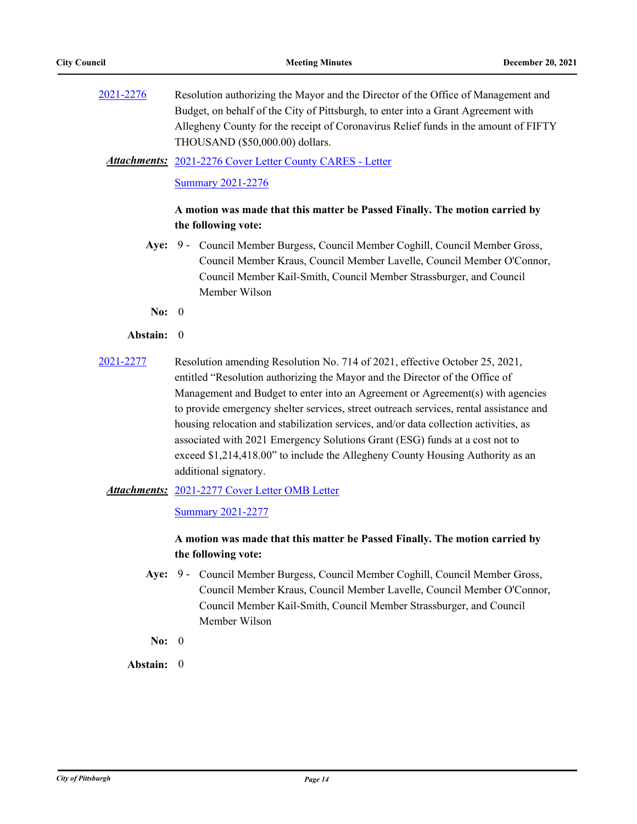[2021-2276](http://pittsburgh.legistar.com/gateway.aspx?m=l&id=/matter.aspx?key=27178) Resolution authorizing the Mayor and the Director of the Office of Management and Budget, on behalf of the City of Pittsburgh, to enter into a Grant Agreement with Allegheny County for the receipt of Coronavirus Relief funds in the amount of FIFTY THOUSAND (\$50,000.00) dollars.

#### [2021-2276 Cover Letter County CARES - Letter](http://pittsburgh.legistar.com/gateway.aspx?M=F&ID=0791564b-e169-4a1d-8f3b-ebb34b3f0e51.pdf) *Attachments:*

#### [Summary 2021-2276](http://pittsburgh.legistar.com/gateway.aspx?M=F&ID=317cfaef-f22e-4a07-abe6-30111ca4158f.docx)

## **A motion was made that this matter be Passed Finally. The motion carried by the following vote:**

- Aye: 9 Council Member Burgess, Council Member Coghill, Council Member Gross, Council Member Kraus, Council Member Lavelle, Council Member O'Connor, Council Member Kail-Smith, Council Member Strassburger, and Council Member Wilson
- **No:** 0

#### **Abstain:** 0

[2021-2277](http://pittsburgh.legistar.com/gateway.aspx?m=l&id=/matter.aspx?key=27179) Resolution amending Resolution No. 714 of 2021, effective October 25, 2021, entitled "Resolution authorizing the Mayor and the Director of the Office of Management and Budget to enter into an Agreement or Agreement(s) with agencies to provide emergency shelter services, street outreach services, rental assistance and housing relocation and stabilization services, and/or data collection activities, as associated with 2021 Emergency Solutions Grant (ESG) funds at a cost not to exceed \$1,214,418.00" to include the Allegheny County Housing Authority as an additional signatory.

#### Attachments: [2021-2277 Cover Letter OMB Letter](http://pittsburgh.legistar.com/gateway.aspx?M=F&ID=ee68552d-2dc1-4b49-86f0-4b6a37377d72.docx)

#### [Summary 2021-2277](http://pittsburgh.legistar.com/gateway.aspx?M=F&ID=340d076f-93bd-48de-be71-c33b88d932ed.docx)

## **A motion was made that this matter be Passed Finally. The motion carried by the following vote:**

- Aye: 9 Council Member Burgess, Council Member Coghill, Council Member Gross, Council Member Kraus, Council Member Lavelle, Council Member O'Connor, Council Member Kail-Smith, Council Member Strassburger, and Council Member Wilson
- **No:** 0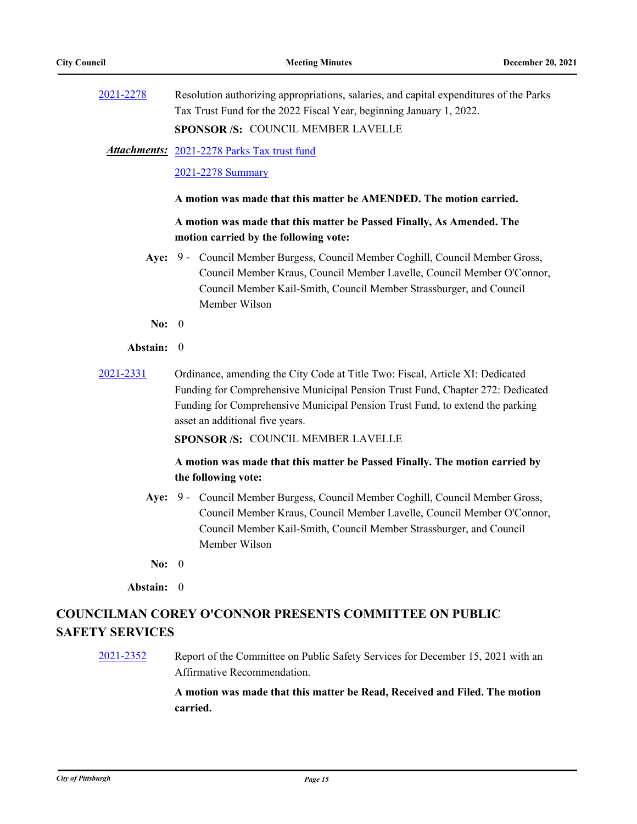| 2021-2278 | Resolution authorizing appropriations, salaries, and capital expenditures of the Parks |
|-----------|----------------------------------------------------------------------------------------|
|           | Tax Trust Fund for the 2022 Fiscal Year, beginning January 1, 2022.                    |
|           | <b>SPONSOR /S: COUNCIL MEMBER LAVELLE</b>                                              |

[2021-2278 Parks Tax trust fund](http://pittsburgh.legistar.com/gateway.aspx?M=F&ID=b70358f8-b8ad-4c65-8aa7-7bad4a7b0836.pdf) *Attachments:*

[2021-2278 Summary](http://pittsburgh.legistar.com/gateway.aspx?M=F&ID=2abfa815-d676-478c-bb42-59dfc6aafe50.docx)

#### **A motion was made that this matter be AMENDED. The motion carried.**

## **A motion was made that this matter be Passed Finally, As Amended. The motion carried by the following vote:**

- Aye: 9 Council Member Burgess, Council Member Coghill, Council Member Gross, Council Member Kraus, Council Member Lavelle, Council Member O'Connor, Council Member Kail-Smith, Council Member Strassburger, and Council Member Wilson
- **No:** 0

#### **Abstain:** 0

[2021-2331](http://pittsburgh.legistar.com/gateway.aspx?m=l&id=/matter.aspx?key=27234) Ordinance, amending the City Code at Title Two: Fiscal, Article XI: Dedicated Funding for Comprehensive Municipal Pension Trust Fund, Chapter 272: Dedicated Funding for Comprehensive Municipal Pension Trust Fund, to extend the parking asset an additional five years.

**SPONSOR /S:** COUNCIL MEMBER LAVELLE

## **A motion was made that this matter be Passed Finally. The motion carried by the following vote:**

- Aye: 9 Council Member Burgess, Council Member Coghill, Council Member Gross, Council Member Kraus, Council Member Lavelle, Council Member O'Connor, Council Member Kail-Smith, Council Member Strassburger, and Council Member Wilson
- **No:** 0

**Abstain:** 0

# **COUNCILMAN COREY O'CONNOR PRESENTS COMMITTEE ON PUBLIC SAFETY SERVICES**

[2021-2352](http://pittsburgh.legistar.com/gateway.aspx?m=l&id=/matter.aspx?key=27256) Report of the Committee on Public Safety Services for December 15, 2021 with an Affirmative Recommendation.

> **A motion was made that this matter be Read, Received and Filed. The motion carried.**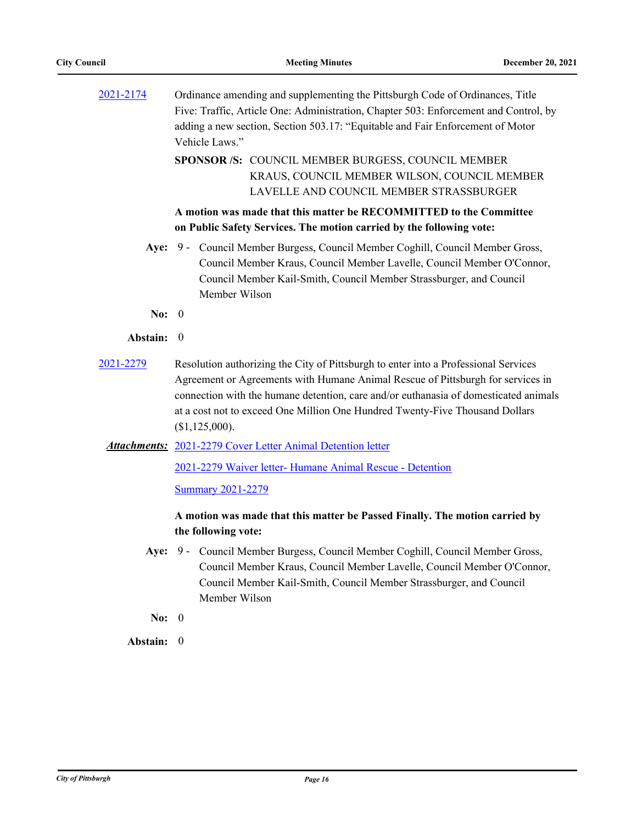| 2021-2174 | Ordinance amending and supplementing the Pittsburgh Code of Ordinances, Title<br>Five: Traffic, Article One: Administration, Chapter 503: Enforcement and Control, by<br>adding a new section, Section 503.17: "Equitable and Fair Enforcement of Motor<br>Vehicle Laws."                                                                                        |
|-----------|------------------------------------------------------------------------------------------------------------------------------------------------------------------------------------------------------------------------------------------------------------------------------------------------------------------------------------------------------------------|
|           | SPONSOR /S: COUNCIL MEMBER BURGESS, COUNCIL MEMBER<br>KRAUS, COUNCIL MEMBER WILSON, COUNCIL MEMBER<br>LAVELLE AND COUNCIL MEMBER STRASSBURGER                                                                                                                                                                                                                    |
|           | A motion was made that this matter be RECOMMITTED to the Committee<br>on Public Safety Services. The motion carried by the following vote:                                                                                                                                                                                                                       |
|           | Aye: 9 - Council Member Burgess, Council Member Coghill, Council Member Gross,<br>Council Member Kraus, Council Member Lavelle, Council Member O'Connor,<br>Council Member Kail-Smith, Council Member Strassburger, and Council<br>Member Wilson                                                                                                                 |
| No: $0$   |                                                                                                                                                                                                                                                                                                                                                                  |
| Abstain:  | $\boldsymbol{0}$                                                                                                                                                                                                                                                                                                                                                 |
| 2021-2279 | Resolution authorizing the City of Pittsburgh to enter into a Professional Services<br>Agreement or Agreements with Humane Animal Rescue of Pittsburgh for services in<br>connection with the humane detention, care and/or euthanasia of domesticated animals<br>at a cost not to exceed One Million One Hundred Twenty-Five Thousand Dollars<br>(\$1,125,000). |
|           | <b>Attachments:</b> 2021-2279 Cover Letter Animal Detention letter                                                                                                                                                                                                                                                                                               |
|           | 2021-2279 Waiver letter- Humane Animal Rescue - Detention<br><b>Summary 2021-2279</b>                                                                                                                                                                                                                                                                            |
|           | A motion was made that this matter be Passed Finally. The motion carried by<br>the following vote:                                                                                                                                                                                                                                                               |
|           | Aye: 9 - Council Member Burgess, Council Member Coghill, Council Member Gross,<br>Council Member Kraus, Council Member Lavelle, Council Member O'Connor,<br>Council Member Kail-Smith, Council Member Strassburger, and Council<br>Member Wilson                                                                                                                 |
| No: $0$   |                                                                                                                                                                                                                                                                                                                                                                  |
| Abstain:  | $\overline{0}$                                                                                                                                                                                                                                                                                                                                                   |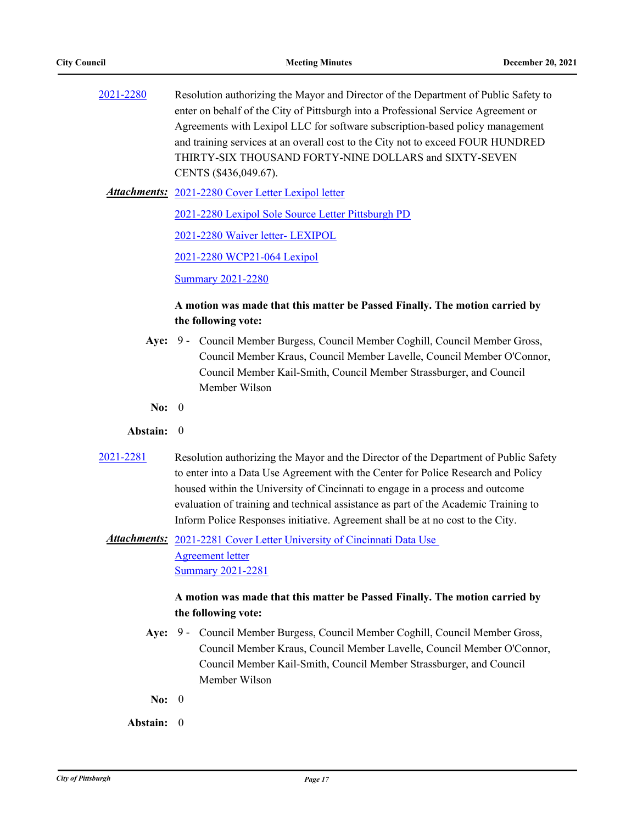| 2021-2280 | Resolution authorizing the Mayor and Director of the Department of Public Safety to |
|-----------|-------------------------------------------------------------------------------------|
|           | enter on behalf of the City of Pittsburgh into a Professional Service Agreement or  |
|           | Agreements with Lexipol LLC for software subscription-based policy management       |
|           | and training services at an overall cost to the City not to exceed FOUR HUNDRED     |
|           | THIRTY-SIX THOUSAND FORTY-NINE DOLLARS and SIXTY-SEVEN                              |
|           | CENTS (\$436,049.67).                                                               |

[2021-2280 Cover Letter Lexipol letter](http://pittsburgh.legistar.com/gateway.aspx?M=F&ID=ee6d3233-d252-4451-8d7a-edbd239519b1.pdf) *Attachments:*

[2021-2280 Lexipol Sole Source Letter Pittsburgh PD](http://pittsburgh.legistar.com/gateway.aspx?M=F&ID=1ecbf513-5f3e-4ed1-b10f-5a1141873060.docx)

[2021-2280 Waiver letter- LEXIPOL](http://pittsburgh.legistar.com/gateway.aspx?M=F&ID=c12a0be2-a244-4b09-b68e-4be29be3245b.docx)

[2021-2280 WCP21-064 Lexipol](http://pittsburgh.legistar.com/gateway.aspx?M=F&ID=6edf9fd8-0ece-45c9-af9c-262b2cf044b4.pdf)

[Summary 2021-2280](http://pittsburgh.legistar.com/gateway.aspx?M=F&ID=f48f4530-8c4f-4513-ab54-534b9520383b.DOCX)

## **A motion was made that this matter be Passed Finally. The motion carried by the following vote:**

- Aye: 9 Council Member Burgess, Council Member Coghill, Council Member Gross, Council Member Kraus, Council Member Lavelle, Council Member O'Connor, Council Member Kail-Smith, Council Member Strassburger, and Council Member Wilson
- **No:** 0

#### **Abstain:** 0

- [2021-2281](http://pittsburgh.legistar.com/gateway.aspx?m=l&id=/matter.aspx?key=27183) Resolution authorizing the Mayor and the Director of the Department of Public Safety to enter into a Data Use Agreement with the Center for Police Research and Policy housed within the University of Cincinnati to engage in a process and outcome evaluation of training and technical assistance as part of the Academic Training to Inform Police Responses initiative. Agreement shall be at no cost to the City.
	- Attachments: 2021-2281 Cover Letter University of Cincinnati Data Use Agreement letter [Summary 2021-2281](http://pittsburgh.legistar.com/gateway.aspx?M=F&ID=d2bc6e32-5822-4200-a8dc-6a5b1c30c0ce.docx)

- Aye: 9 Council Member Burgess, Council Member Coghill, Council Member Gross, Council Member Kraus, Council Member Lavelle, Council Member O'Connor, Council Member Kail-Smith, Council Member Strassburger, and Council Member Wilson
- **No:** 0
- **Abstain:** 0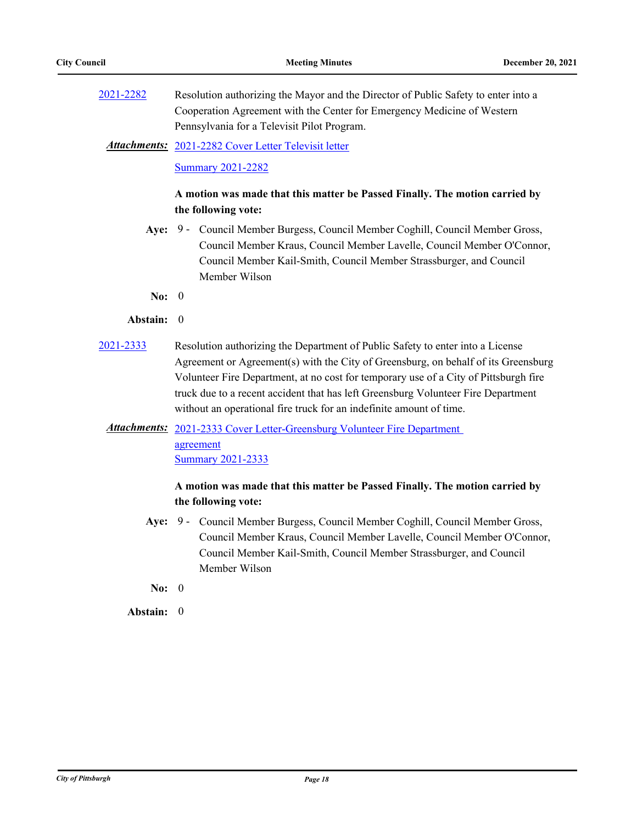[2021-2282](http://pittsburgh.legistar.com/gateway.aspx?m=l&id=/matter.aspx?key=27184) Resolution authorizing the Mayor and the Director of Public Safety to enter into a Cooperation Agreement with the Center for Emergency Medicine of Western Pennsylvania for a Televisit Pilot Program.

[2021-2282 Cover Letter Televisit letter](http://pittsburgh.legistar.com/gateway.aspx?M=F&ID=0c43f275-9f62-49a7-ad60-7643cfb07f29.pdf) *Attachments:*

[Summary 2021-2282](http://pittsburgh.legistar.com/gateway.aspx?M=F&ID=bf6d3673-fb88-4efa-81a1-771f913598c7.docx)

## **A motion was made that this matter be Passed Finally. The motion carried by the following vote:**

- Aye: 9 Council Member Burgess, Council Member Coghill, Council Member Gross, Council Member Kraus, Council Member Lavelle, Council Member O'Connor, Council Member Kail-Smith, Council Member Strassburger, and Council Member Wilson
- **No:** 0

#### **Abstain:** 0

[2021-2333](http://pittsburgh.legistar.com/gateway.aspx?m=l&id=/matter.aspx?key=27236) Resolution authorizing the Department of Public Safety to enter into a License Agreement or Agreement(s) with the City of Greensburg, on behalf of its Greensburg Volunteer Fire Department, at no cost for temporary use of a City of Pittsburgh fire truck due to a recent accident that has left Greensburg Volunteer Fire Department without an operational fire truck for an indefinite amount of time.

## Attachments: 2021-2333 Cover Letter-Greensburg Volunteer Fire Department agreement [Summary 2021-2333](http://pittsburgh.legistar.com/gateway.aspx?M=F&ID=25b8ddbf-4892-4126-b83f-0bc9c8794d42.docx)

## **A motion was made that this matter be Passed Finally. The motion carried by the following vote:**

- Aye: 9 Council Member Burgess, Council Member Coghill, Council Member Gross, Council Member Kraus, Council Member Lavelle, Council Member O'Connor, Council Member Kail-Smith, Council Member Strassburger, and Council Member Wilson
- **No:** 0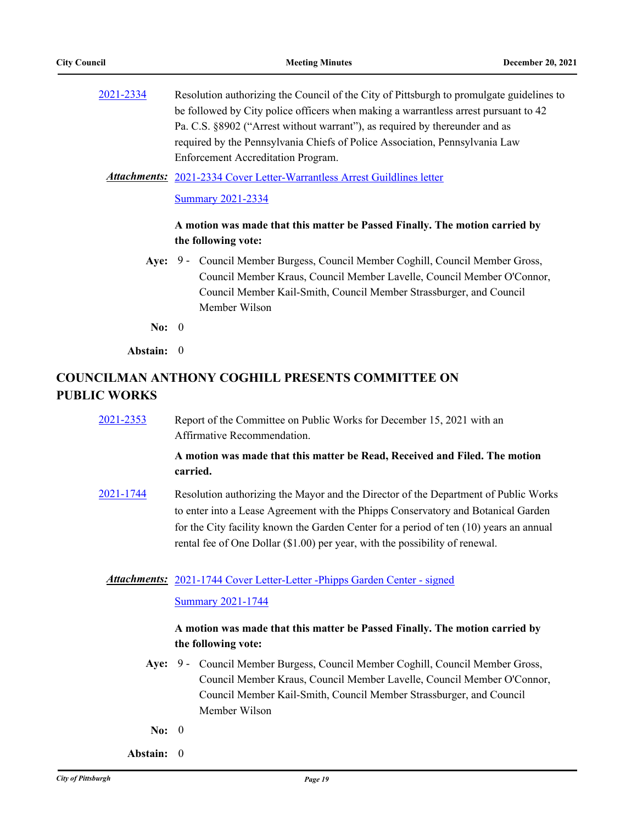[2021-2334](http://pittsburgh.legistar.com/gateway.aspx?m=l&id=/matter.aspx?key=27237) Resolution authorizing the Council of the City of Pittsburgh to promulgate guidelines to be followed by City police officers when making a warrantless arrest pursuant to 42 Pa. C.S. §8902 ("Arrest without warrant"), as required by thereunder and as required by the Pennsylvania Chiefs of Police Association, Pennsylvania Law Enforcement Accreditation Program.

Attachments: [2021-2334 Cover Letter-Warrantless Arrest Guildlines letter](http://pittsburgh.legistar.com/gateway.aspx?M=F&ID=7d357306-07c9-47b6-9e9e-9140fbbf03ba.pdf)

[Summary 2021-2334](http://pittsburgh.legistar.com/gateway.aspx?M=F&ID=9a3f39e6-2ef9-41f2-9f43-27c3cd3fb4f9.docx)

## **A motion was made that this matter be Passed Finally. The motion carried by the following vote:**

Aye: 9 - Council Member Burgess, Council Member Coghill, Council Member Gross, Council Member Kraus, Council Member Lavelle, Council Member O'Connor, Council Member Kail-Smith, Council Member Strassburger, and Council Member Wilson

**No:** 0

**Abstain:** 0

# **COUNCILMAN ANTHONY COGHILL PRESENTS COMMITTEE ON PUBLIC WORKS**

[2021-2353](http://pittsburgh.legistar.com/gateway.aspx?m=l&id=/matter.aspx?key=27257) Report of the Committee on Public Works for December 15, 2021 with an Affirmative Recommendation.

## **A motion was made that this matter be Read, Received and Filed. The motion carried.**

[2021-1744](http://pittsburgh.legistar.com/gateway.aspx?m=l&id=/matter.aspx?key=26611) Resolution authorizing the Mayor and the Director of the Department of Public Works to enter into a Lease Agreement with the Phipps Conservatory and Botanical Garden for the City facility known the Garden Center for a period of ten (10) years an annual rental fee of One Dollar (\$1.00) per year, with the possibility of renewal.

### Attachments: [2021-1744 Cover Letter-Letter -Phipps Garden Center - signed](http://pittsburgh.legistar.com/gateway.aspx?M=F&ID=46d1a619-9615-4836-8203-1da33da5987a.pdf)

#### [Summary 2021-1744](http://pittsburgh.legistar.com/gateway.aspx?M=F&ID=8f5a2ef3-7eec-4795-9300-988fdb4c09c0.docx)

- Aye: 9 Council Member Burgess, Council Member Coghill, Council Member Gross, Council Member Kraus, Council Member Lavelle, Council Member O'Connor, Council Member Kail-Smith, Council Member Strassburger, and Council Member Wilson
- **No:** 0
- **Abstain:** 0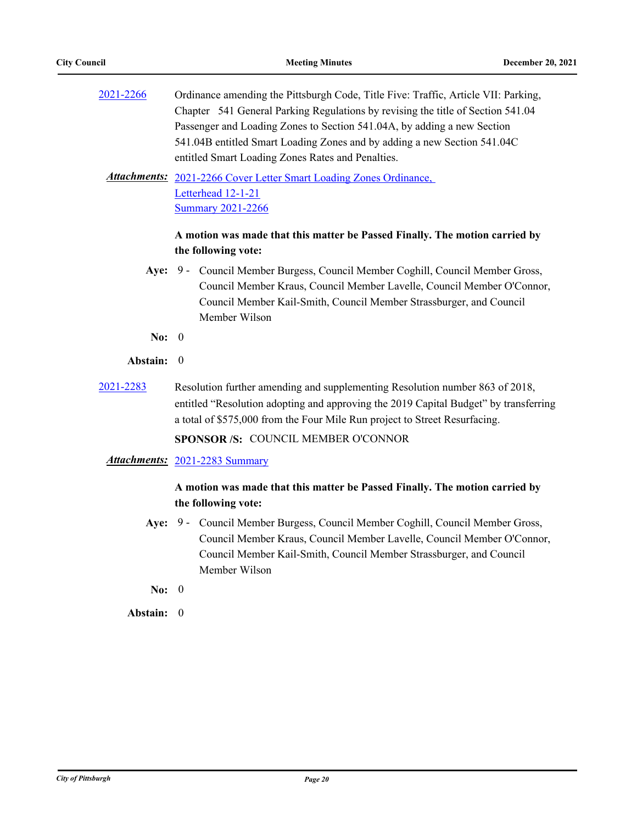| 2021-2266 | Ordinance amending the Pittsburgh Code, Title Five: Traffic, Article VII: Parking, |
|-----------|------------------------------------------------------------------------------------|
|           | Chapter 541 General Parking Regulations by revising the title of Section 541.04    |
|           | Passenger and Loading Zones to Section 541.04A, by adding a new Section            |
|           | 541.04B entitled Smart Loading Zones and by adding a new Section 541.04C           |
|           | entitled Smart Loading Zones Rates and Penalties.                                  |

Attachments: 2021-2266 Cover Letter Smart Loading Zones Ordinance, Letterhead 12-1-21 [Summary 2021-2266](http://pittsburgh.legistar.com/gateway.aspx?M=F&ID=57cc36f0-ecc8-4095-ba1c-ac6709b15007.docx)

## **A motion was made that this matter be Passed Finally. The motion carried by the following vote:**

- Aye: 9 Council Member Burgess, Council Member Coghill, Council Member Gross, Council Member Kraus, Council Member Lavelle, Council Member O'Connor, Council Member Kail-Smith, Council Member Strassburger, and Council Member Wilson
- **No:** 0

### **Abstain:** 0

- [2021-2283](http://pittsburgh.legistar.com/gateway.aspx?m=l&id=/matter.aspx?key=27185) Resolution further amending and supplementing Resolution number 863 of 2018, entitled "Resolution adopting and approving the 2019 Capital Budget" by transferring a total of \$575,000 from the Four Mile Run project to Street Resurfacing. **SPONSOR /S:** COUNCIL MEMBER O'CONNOR
	- *Attachments:* [2021-2283 Summary](http://pittsburgh.legistar.com/gateway.aspx?M=F&ID=35b21a63-3299-4f05-babd-339bf79549d1.docx)

## **A motion was made that this matter be Passed Finally. The motion carried by the following vote:**

- Aye: 9 Council Member Burgess, Council Member Coghill, Council Member Gross, Council Member Kraus, Council Member Lavelle, Council Member O'Connor, Council Member Kail-Smith, Council Member Strassburger, and Council Member Wilson
- **No:** 0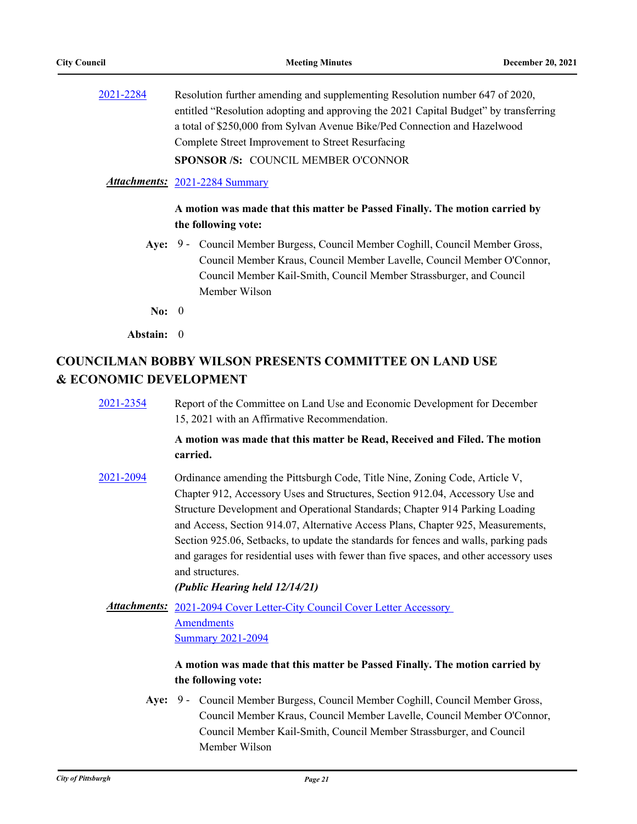[2021-2284](http://pittsburgh.legistar.com/gateway.aspx?m=l&id=/matter.aspx?key=27186) Resolution further amending and supplementing Resolution number 647 of 2020, entitled "Resolution adopting and approving the 2021 Capital Budget" by transferring a total of \$250,000 from Sylvan Avenue Bike/Ped Connection and Hazelwood Complete Street Improvement to Street Resurfacing **SPONSOR /S:** COUNCIL MEMBER O'CONNOR

#### *Attachments:* [2021-2284 Summary](http://pittsburgh.legistar.com/gateway.aspx?M=F&ID=0d0e0717-06aa-4600-8878-1b96bf6806e8.docx)

## **A motion was made that this matter be Passed Finally. The motion carried by the following vote:**

- Aye: 9 Council Member Burgess, Council Member Coghill, Council Member Gross, Council Member Kraus, Council Member Lavelle, Council Member O'Connor, Council Member Kail-Smith, Council Member Strassburger, and Council Member Wilson
- **No:** 0

**Abstain:** 0

# **COUNCILMAN BOBBY WILSON PRESENTS COMMITTEE ON LAND USE & ECONOMIC DEVELOPMENT**

[2021-2354](http://pittsburgh.legistar.com/gateway.aspx?m=l&id=/matter.aspx?key=27258) Report of the Committee on Land Use and Economic Development for December 15, 2021 with an Affirmative Recommendation.

## **A motion was made that this matter be Read, Received and Filed. The motion carried.**

[2021-2094](http://pittsburgh.legistar.com/gateway.aspx?m=l&id=/matter.aspx?key=26977) Ordinance amending the Pittsburgh Code, Title Nine, Zoning Code, Article V, Chapter 912, Accessory Uses and Structures, Section 912.04, Accessory Use and Structure Development and Operational Standards; Chapter 914 Parking Loading and Access, Section 914.07, Alternative Access Plans, Chapter 925, Measurements, Section 925.06, Setbacks, to update the standards for fences and walls, parking pads and garages for residential uses with fewer than five spaces, and other accessory uses and structures.

*(Public Hearing held 12/14/21)*

Attachments: 2021-2094 Cover Letter-City Council Cover Letter Accessory **Amendments** [Summary 2021-2094](http://pittsburgh.legistar.com/gateway.aspx?M=F&ID=84b02038-7a62-4faf-8ab4-663c53d488f6.docx)

## **A motion was made that this matter be Passed Finally. The motion carried by the following vote:**

Aye: 9 - Council Member Burgess, Council Member Coghill, Council Member Gross, Council Member Kraus, Council Member Lavelle, Council Member O'Connor, Council Member Kail-Smith, Council Member Strassburger, and Council Member Wilson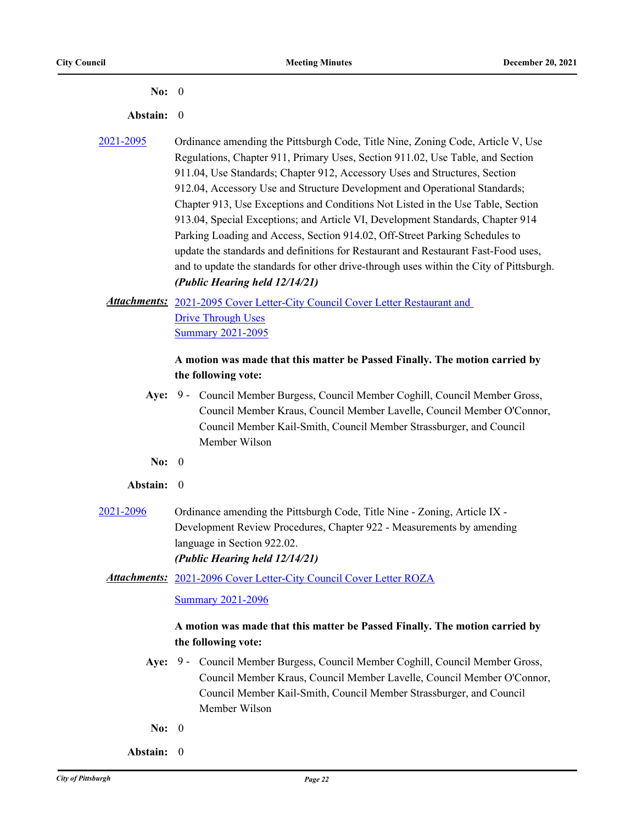#### **No:** 0

#### **Abstain:** 0

[2021-2095](http://pittsburgh.legistar.com/gateway.aspx?m=l&id=/matter.aspx?key=26978) Ordinance amending the Pittsburgh Code, Title Nine, Zoning Code, Article V, Use Regulations, Chapter 911, Primary Uses, Section 911.02, Use Table, and Section 911.04, Use Standards; Chapter 912, Accessory Uses and Structures, Section 912.04, Accessory Use and Structure Development and Operational Standards; Chapter 913, Use Exceptions and Conditions Not Listed in the Use Table, Section 913.04, Special Exceptions; and Article VI, Development Standards, Chapter 914 Parking Loading and Access, Section 914.02, Off-Street Parking Schedules to update the standards and definitions for Restaurant and Restaurant Fast-Food uses, and to update the standards for other drive-through uses within the City of Pittsburgh. *(Public Hearing held 12/14/21)*

## Attachments: 2021-2095 Cover Letter-City Council Cover Letter Restaurant and Drive Through Uses [Summary 2021-2095](http://pittsburgh.legistar.com/gateway.aspx?M=F&ID=6e6473eb-b6b1-4077-9b50-07fc4d56f63c.docx)

## **A motion was made that this matter be Passed Finally. The motion carried by the following vote:**

- Aye: 9 Council Member Burgess, Council Member Coghill, Council Member Gross, Council Member Kraus, Council Member Lavelle, Council Member O'Connor, Council Member Kail-Smith, Council Member Strassburger, and Council Member Wilson
- **No:** 0

#### **Abstain:** 0

[2021-2096](http://pittsburgh.legistar.com/gateway.aspx?m=l&id=/matter.aspx?key=26979) Ordinance amending the Pittsburgh Code, Title Nine - Zoning, Article IX - Development Review Procedures, Chapter 922 - Measurements by amending language in Section 922.02. *(Public Hearing held 12/14/21)*

## [2021-2096 Cover Letter-City Council Cover Letter ROZA](http://pittsburgh.legistar.com/gateway.aspx?M=F&ID=5c235925-a061-4c4c-ab4c-ec42944e9950.docx) *Attachments:*

#### **[Summary 2021-2096](http://pittsburgh.legistar.com/gateway.aspx?M=F&ID=1f949b37-d62f-4904-a111-ccad45169c94.docx)**

- Aye: 9 Council Member Burgess, Council Member Coghill, Council Member Gross, Council Member Kraus, Council Member Lavelle, Council Member O'Connor, Council Member Kail-Smith, Council Member Strassburger, and Council Member Wilson
- **No:** 0
- **Abstain:** 0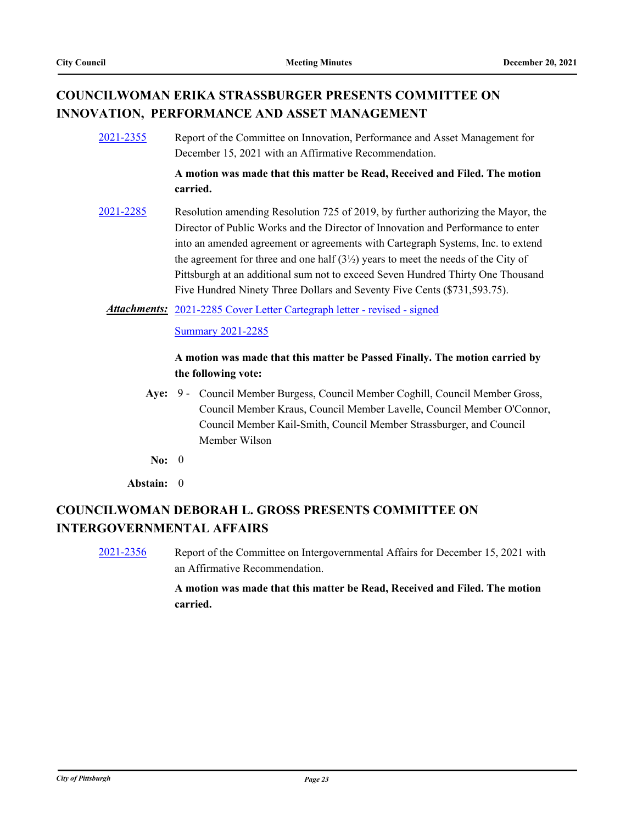# **COUNCILWOMAN ERIKA STRASSBURGER PRESENTS COMMITTEE ON INNOVATION, PERFORMANCE AND ASSET MANAGEMENT**

[2021-2355](http://pittsburgh.legistar.com/gateway.aspx?m=l&id=/matter.aspx?key=27259) Report of the Committee on Innovation, Performance and Asset Management for December 15, 2021 with an Affirmative Recommendation.

> **A motion was made that this matter be Read, Received and Filed. The motion carried.**

[2021-2285](http://pittsburgh.legistar.com/gateway.aspx?m=l&id=/matter.aspx?key=27187) Resolution amending Resolution 725 of 2019, by further authorizing the Mayor, the Director of Public Works and the Director of Innovation and Performance to enter into an amended agreement or agreements with Cartegraph Systems, Inc. to extend the agreement for three and one half  $(3\frac{1}{2})$  years to meet the needs of the City of Pittsburgh at an additional sum not to exceed Seven Hundred Thirty One Thousand Five Hundred Ninety Three Dollars and Seventy Five Cents (\$731,593.75).

Attachments: [2021-2285 Cover Letter Cartegraph letter - revised - signed](http://pittsburgh.legistar.com/gateway.aspx?M=F&ID=95584a8f-c637-48fe-a12b-0547e1baf5c0.pdf)

**[Summary 2021-2285](http://pittsburgh.legistar.com/gateway.aspx?M=F&ID=3b4efe26-f502-4416-a582-73269b220c1d.docx)** 

## **A motion was made that this matter be Passed Finally. The motion carried by the following vote:**

- Aye: 9 Council Member Burgess, Council Member Coghill, Council Member Gross, Council Member Kraus, Council Member Lavelle, Council Member O'Connor, Council Member Kail-Smith, Council Member Strassburger, and Council Member Wilson
- **No:** 0

**Abstain:** 0

# **COUNCILWOMAN DEBORAH L. GROSS PRESENTS COMMITTEE ON INTERGOVERNMENTAL AFFAIRS**

[2021-2356](http://pittsburgh.legistar.com/gateway.aspx?m=l&id=/matter.aspx?key=27260) Report of the Committee on Intergovernmental Affairs for December 15, 2021 with an Affirmative Recommendation.

> **A motion was made that this matter be Read, Received and Filed. The motion carried.**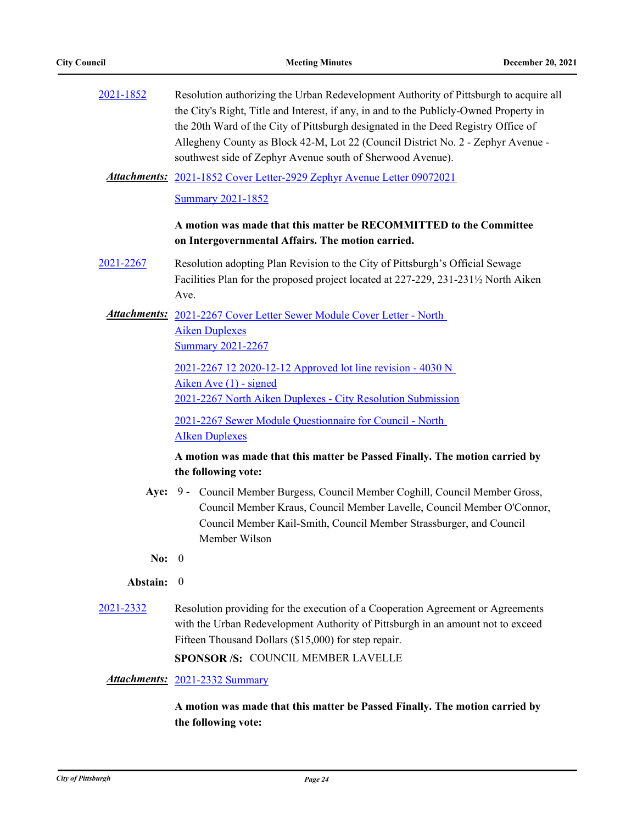| 2021-1852 | Resolution authorizing the Urban Redevelopment Authority of Pittsburgh to acquire all<br>the City's Right, Title and Interest, if any, in and to the Publicly-Owned Property in<br>the 20th Ward of the City of Pittsburgh designated in the Deed Registry Office of<br>Allegheny County as Block 42-M, Lot 22 (Council District No. 2 - Zephyr Avenue -<br>southwest side of Zephyr Avenue south of Sherwood Avenue).<br><b>Attachments:</b> 2021-1852 Cover Letter-2929 Zephyr Avenue Letter 09072021 |
|-----------|---------------------------------------------------------------------------------------------------------------------------------------------------------------------------------------------------------------------------------------------------------------------------------------------------------------------------------------------------------------------------------------------------------------------------------------------------------------------------------------------------------|
|           | <b>Summary 2021-1852</b>                                                                                                                                                                                                                                                                                                                                                                                                                                                                                |
|           | A motion was made that this matter be RECOMMITTED to the Committee<br>on Intergovernmental Affairs. The motion carried.                                                                                                                                                                                                                                                                                                                                                                                 |
| 2021-2267 | Resolution adopting Plan Revision to the City of Pittsburgh's Official Sewage<br>Facilities Plan for the proposed project located at 227-229, 231-231½ North Aiken<br>Ave.                                                                                                                                                                                                                                                                                                                              |
|           | Attachments: 2021-2267 Cover Letter Sewer Module Cover Letter - North<br><b>Aiken Duplexes</b><br><b>Summary 2021-2267</b>                                                                                                                                                                                                                                                                                                                                                                              |
|           | 2021-2267 12 2020-12-12 Approved lot line revision - 4030 N<br>Aiken Ave $(1)$ - signed<br>2021-2267 North Aiken Duplexes - City Resolution Submission                                                                                                                                                                                                                                                                                                                                                  |
|           | 2021-2267 Sewer Module Questionnaire for Council - North<br><b>Alken Duplexes</b>                                                                                                                                                                                                                                                                                                                                                                                                                       |
|           | A motion was made that this matter be Passed Finally. The motion carried by<br>the following vote:                                                                                                                                                                                                                                                                                                                                                                                                      |
|           | Aye: 9 - Council Member Burgess, Council Member Coghill, Council Member Gross,<br>Council Member Kraus, Council Member Lavelle, Council Member O'Connor,<br>Council Member Kail-Smith, Council Member Strassburger, and Council<br>Member Wilson                                                                                                                                                                                                                                                        |
| No: $0$   |                                                                                                                                                                                                                                                                                                                                                                                                                                                                                                         |
| Abstain:  | $\overline{0}$                                                                                                                                                                                                                                                                                                                                                                                                                                                                                          |
| 2021-2332 | Resolution providing for the execution of a Cooperation Agreement or Agreements<br>with the Urban Redevelopment Authority of Pittsburgh in an amount not to exceed<br>Fifteen Thousand Dollars (\$15,000) for step repair.                                                                                                                                                                                                                                                                              |
|           | SPONSOR /S: COUNCIL MEMBER LAVELLE                                                                                                                                                                                                                                                                                                                                                                                                                                                                      |
|           | Attachments: 2021-2332 Summary                                                                                                                                                                                                                                                                                                                                                                                                                                                                          |